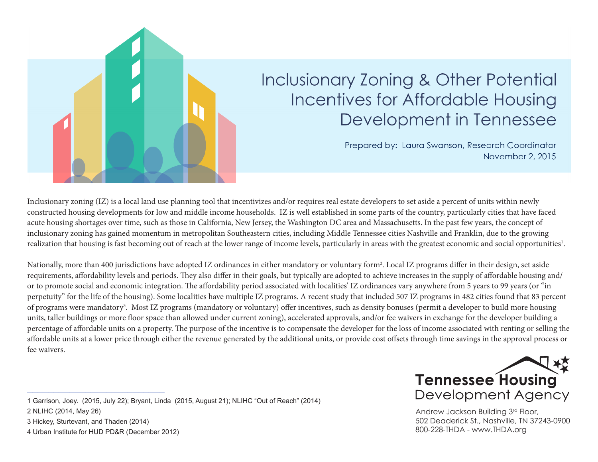

# Inclusionary Zoning & Other Potential **Incentives for Affordable Housing** Development in Tennessee

Prepared by: Laura Swanson, Research Coordinator November 2, 2015

Inclusionary zoning (IZ) is a local land use planning tool that incentivizes and/or requires real estate developers to set aside a percent of units within newly constructed housing developments for low and middle income households. IZ is well established in some parts of the country, particularly cities that have faced acute housing shortages over time, such as those in California, New Jersey, the Washington DC area and Massachusetts. In the past few years, the concept of inclusionary zoning has gained momentum in metropolitan Southeastern cities, including Middle Tennessee cities Nashville and Franklin, due to the growing realization that housing is fast becoming out of reach at the lower range of income levels, particularly in areas with the greatest economic and social opportunities<sup>1</sup>.

Nationally, more than 400 jurisdictions have adopted IZ ordinances in either mandatory or voluntary form<sup>2</sup>. Local IZ programs differ in their design, set aside requirements, affordability levels and periods. They also differ in their goals, but typically are adopted to achieve increases in the supply of affordable housing and/ or to promote social and economic integration. The affordability period associated with localities' IZ ordinances vary anywhere from 5 years to 99 years (or "in perpetuity" for the life of the housing). Some localities have multiple IZ programs. A recent study that included 507 IZ programs in 482 cities found that 83 percent of programs were mandatory<sup>3</sup>. Most IZ programs (mandatory or voluntary) offer incentives, such as density bonuses (permit a developer to build more housing units, taller buildings or more floor space than allowed under current zoning), accelerated approvals, and/or fee waivers in exchange for the developer building a percentage of affordable units on a property. The purpose of the incentive is to compensate the developer for the loss of income associated with renting or selling the affordable units at a lower price through either the revenue generated by the additional units, or provide cost offsets through time savings in the approval process or fee waivers.



Andrew Jackson Building 3rd Floor, 502 Deaderick St., Nashville, TN 37243-0900 800-228-THDA - www.THDA.org

\_\_\_\_\_\_\_\_\_\_\_\_\_\_\_\_\_\_\_\_\_\_\_\_\_\_

<sup>1</sup> Garrison, Joey. (2015, July 22); Bryant, Linda (2015, August 21); NLIHC "Out of Reach" (2014)

<sup>2</sup> NLIHC (2014, May 26)

<sup>3</sup> Hickey, Sturtevant, and Thaden (2014)

<sup>4</sup> Urban Institute for HUD PD&R (December 2012)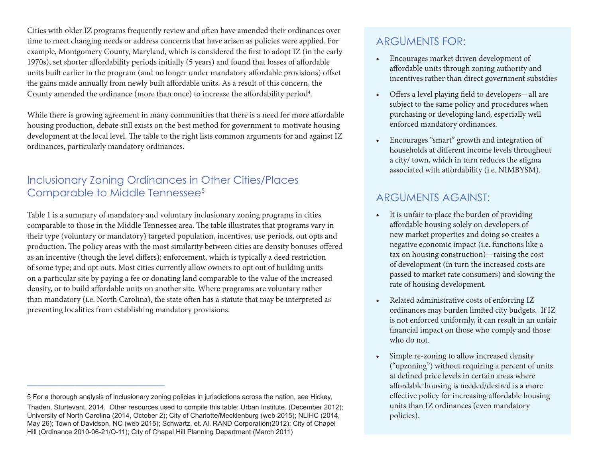Cities with older IZ programs frequently review and often have amended their ordinances over time to meet changing needs or address concerns that have arisen as policies were applied. For example, Montgomery County, Maryland, which is considered the first to adopt IZ (in the early 1970s), set shorter affordability periods initially (5 years) and found that losses of affordable units built earlier in the program (and no longer under mandatory affordable provisions) offset the gains made annually from newly built affordable units. As a result of this concern, the County amended the ordinance (more than once) to increase the affordability period<sup>4</sup>.

While there is growing agreement in many communities that there is a need for more affordable housing production, debate still exists on the best method for government to motivate housing development at the local level. The table to the right lists common arguments for and against IZ ordinances, particularly mandatory ordinances.

#### Inclusionary Zoning Ordinances in Other Cities/Places Comparable to Middle Tennessee<sup>5</sup>

Table 1 is a summary of mandatory and voluntary inclusionary zoning programs in cities comparable to those in the Middle Tennessee area. The table illustrates that programs vary in their type (voluntary or mandatory) targeted population, incentives, use periods, out opts and production. The policy areas with the most similarity between cities are density bonuses offered as an incentive (though the level differs); enforcement, which is typically a deed restriction of some type; and opt outs. Most cities currently allow owners to opt out of building units on a particular site by paying a fee or donating land comparable to the value of the increased density, or to build affordable units on another site. Where programs are voluntary rather than mandatory (i.e. North Carolina), the state often has a statute that may be interpreted as preventing localities from establishing mandatory provisions.

\_\_\_\_\_\_\_\_\_\_\_\_\_\_\_\_\_\_\_\_\_\_\_\_\_\_

#### ARGUMENTS FOR:

- • Encourages market driven development of affordable units through zoning authority and incentives rather than direct government subsidies
- Offers a level playing field to developers—all are subject to the same policy and procedures when purchasing or developing land, especially well enforced mandatory ordinances.
- Encourages "smart" growth and integration of households at different income levels throughout a city/ town, which in turn reduces the stigma associated with affordability (i.e. NIMBYSM).

#### ARGUMENTS AGAINST:

- It is unfair to place the burden of providing affordable housing solely on developers of new market properties and doing so creates a negative economic impact (i.e. functions like a tax on housing construction)—raising the cost of development (in turn the increased costs are passed to market rate consumers) and slowing the rate of housing development.
- Related administrative costs of enforcing IZ ordinances may burden limited city budgets. If IZ is not enforced uniformly, it can result in an unfair financial impact on those who comply and those who do not.
- Simple re-zoning to allow increased density ("upzoning") without requiring a percent of units at defined price levels in certain areas where affordable housing is needed/desired is a more effective policy for increasing affordable housing units than IZ ordinances (even mandatory policies).

<sup>5</sup> For a thorough analysis of inclusionary zoning policies in jurisdictions across the nation, see Hickey, Thaden, Sturtevant, 2014. Other resources used to compile this table: Urban Institute, (December 2012); University of North Carolina (2014, October 2); City of Charlotte/Mecklenburg (web 2015); NLIHC (2014, May 26); Town of Davidson, NC (web 2015); Schwartz, et. Al. RAND Corporation(2012); City of Chapel Hill (Ordinance 2010-06-21/O-11); City of Chapel Hill Planning Department (March 2011)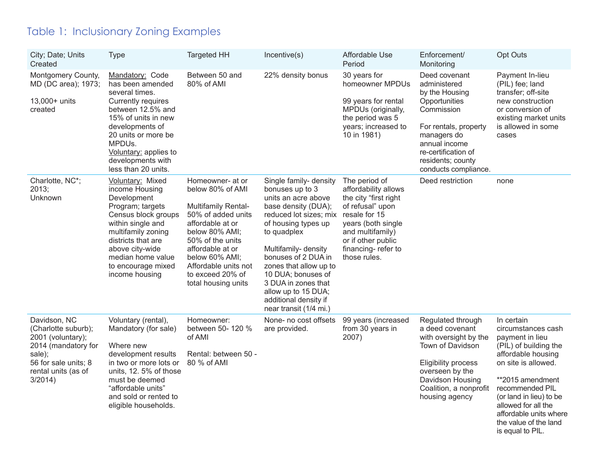## Table 1: Inclusionary Zoning Examples

| City; Date; Units<br>Created                                                                                                                           | <b>Type</b>                                                                                                                                                                                                                                      | <b>Targeted HH</b>                                                                                                                                                                                                                                          | Incentive(s)                                                                                                                                                                                                                                                                                                                                            | Affordable Use<br>Period                                                                                                                                                                                  | Enforcement/<br>Monitoring                                                                                                                                                                                  | <b>Opt Outs</b>                                                                                                                                                                                                                                                                           |
|--------------------------------------------------------------------------------------------------------------------------------------------------------|--------------------------------------------------------------------------------------------------------------------------------------------------------------------------------------------------------------------------------------------------|-------------------------------------------------------------------------------------------------------------------------------------------------------------------------------------------------------------------------------------------------------------|---------------------------------------------------------------------------------------------------------------------------------------------------------------------------------------------------------------------------------------------------------------------------------------------------------------------------------------------------------|-----------------------------------------------------------------------------------------------------------------------------------------------------------------------------------------------------------|-------------------------------------------------------------------------------------------------------------------------------------------------------------------------------------------------------------|-------------------------------------------------------------------------------------------------------------------------------------------------------------------------------------------------------------------------------------------------------------------------------------------|
| Montgomery County,<br>MD (DC area); 1973;<br>13,000+ units<br>created                                                                                  | Mandatory: Code<br>has been amended<br>several times.<br>Currently requires<br>between 12.5% and<br>15% of units in new<br>developments of<br>20 units or more be<br>MPDUs.<br>Voluntary: applies to<br>developments with<br>less than 20 units. | Between 50 and<br>80% of AMI                                                                                                                                                                                                                                | 22% density bonus                                                                                                                                                                                                                                                                                                                                       | 30 years for<br>homeowner MPDUs<br>99 years for rental<br>MPDUs (originally,<br>the period was 5<br>years; increased to<br>10 in 1981)                                                                    | Deed covenant<br>administered<br>by the Housing<br>Opportunities<br>Commission<br>For rentals, property<br>managers do<br>annual income<br>re-certification of<br>residents; county<br>conducts compliance. | Payment In-lieu<br>(PIL) fee; land<br>transfer; off-site<br>new construction<br>or conversion of<br>existing market units<br>is allowed in some<br>cases                                                                                                                                  |
| Charlotte, NC*;<br>2013;<br>Unknown                                                                                                                    | Voluntary: Mixed<br>income Housing<br>Development<br>Program; targets<br>Census block groups<br>within single and<br>multifamily zoning<br>districts that are<br>above city-wide<br>median home value<br>to encourage mixed<br>income housing    | Homeowner- at or<br>below 80% of AMI<br><b>Multifamily Rental-</b><br>50% of added units<br>affordable at or<br>below 80% AMI;<br>50% of the units<br>affordable at or<br>below 60% AMI;<br>Affordable units not<br>to exceed 20% of<br>total housing units | Single family- density<br>bonuses up to 3<br>units an acre above<br>base density (DUA);<br>reduced lot sizes; mix<br>of housing types up<br>to quadplex<br>Multifamily- density<br>bonuses of 2 DUA in<br>zones that allow up to<br>10 DUA; bonuses of<br>3 DUA in zones that<br>allow up to 15 DUA;<br>additional density if<br>near transit (1/4 mi.) | The period of<br>affordability allows<br>the city "first right<br>of refusal" upon<br>resale for 15<br>years (both single<br>and multifamily)<br>or if other public<br>financing-refer to<br>those rules. | Deed restriction                                                                                                                                                                                            | none                                                                                                                                                                                                                                                                                      |
| Davidson, NC<br>(Charlotte suburb);<br>2001 (voluntary);<br>2014 (mandatory for<br>sale);<br>56 for sale units; 8<br>rental units (as of<br>$3/2014$ ) | Voluntary (rental),<br>Mandatory (for sale)<br>Where new<br>development results<br>in two or more lots or<br>units, 12.5% of those<br>must be deemed<br>"affordable units"<br>and sold or rented to<br>eligible households.                      | Homeowner:<br>between 50-120 %<br>of AMI<br>Rental: between 50 -<br>80 % of AMI                                                                                                                                                                             | None- no cost offsets<br>are provided.                                                                                                                                                                                                                                                                                                                  | 99 years (increased<br>from 30 years in<br>2007)                                                                                                                                                          | Regulated through<br>a deed covenant<br>with oversight by the<br>Town of Davidson<br><b>Eligibility process</b><br>overseen by the<br>Davidson Housing<br>Coalition, a nonprofit<br>housing agency          | In certain<br>circumstances cash<br>payment in lieu<br>(PIL) of building the<br>affordable housing<br>on site is allowed.<br>**2015 amendment<br>recommended PIL<br>(or land in lieu) to be<br>allowed for all the<br>affordable units where<br>the value of the land<br>is equal to PIL. |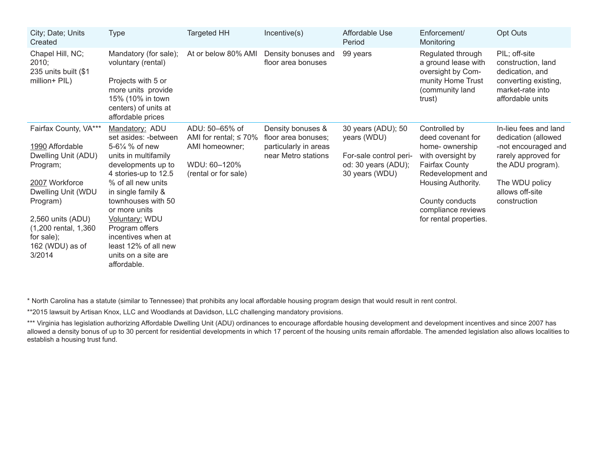| City; Date; Units<br>Created                                                                                                                                                                                            | <b>Type</b>                                                                                                                                                                                                                                                                                                                                 | <b>Targeted HH</b>                                                                                      | Incentive(s)                                                                             | Affordable Use<br>Period                                                                             | Enforcement/<br>Monitoring                                                                                                                                                                                       | Opt Outs                                                                                                                                                             |
|-------------------------------------------------------------------------------------------------------------------------------------------------------------------------------------------------------------------------|---------------------------------------------------------------------------------------------------------------------------------------------------------------------------------------------------------------------------------------------------------------------------------------------------------------------------------------------|---------------------------------------------------------------------------------------------------------|------------------------------------------------------------------------------------------|------------------------------------------------------------------------------------------------------|------------------------------------------------------------------------------------------------------------------------------------------------------------------------------------------------------------------|----------------------------------------------------------------------------------------------------------------------------------------------------------------------|
| Chapel Hill, NC;<br>2010;<br>235 units built (\$1)<br>million+ PIL)                                                                                                                                                     | Mandatory (for sale);<br>voluntary (rental)<br>Projects with 5 or<br>more units provide<br>15% (10% in town<br>centers) of units at<br>affordable prices                                                                                                                                                                                    | At or below 80% AMI                                                                                     | Density bonuses and<br>floor area bonuses                                                | 99 years                                                                                             | Regulated through<br>a ground lease with<br>oversight by Com-<br>munity Home Trust<br>(community land<br>trust)                                                                                                  | PIL; off-site<br>construction, land<br>dedication, and<br>converting existing,<br>market-rate into<br>affordable units                                               |
| Fairfax County, VA***<br>1990 Affordable<br>Dwelling Unit (ADU)<br>Program;<br>2007 Workforce<br>Dwelling Unit (WDU<br>Program)<br>2,560 units (ADU)<br>(1,200 rental, 1,360<br>for sale);<br>162 (WDU) as of<br>3/2014 | Mandatory: ADU<br>set asides: - between<br>5-61⁄4 % of new<br>units in multifamily<br>developments up to<br>4 stories-up to 12.5<br>% of all new units<br>in single family &<br>townhouses with 50<br>or more units<br>Voluntary: WDU<br>Program offers<br>incentives when at<br>least 12% of all new<br>units on a site are<br>affordable. | ADU: 50-65% of<br>AMI for rental; $\leq 70\%$<br>AMI homeowner;<br>WDU: 60-120%<br>(rental or for sale) | Density bonuses &<br>floor area bonuses;<br>particularly in areas<br>near Metro stations | 30 years (ADU); 50<br>years (WDU)<br>For-sale control peri-<br>od: 30 years (ADU);<br>30 years (WDU) | Controlled by<br>deed covenant for<br>home-ownership<br>with oversight by<br><b>Fairfax County</b><br>Redevelopment and<br>Housing Authority.<br>County conducts<br>compliance reviews<br>for rental properties. | In-lieu fees and land<br>dedication (allowed<br>-not encouraged and<br>rarely approved for<br>the ADU program).<br>The WDU policy<br>allows off-site<br>construction |

\* North Carolina has a statute (similar to Tennessee) that prohibits any local affordable housing program design that would result in rent control.

\*\*2015 lawsuit by Artisan Knox, LLC and Woodlands at Davidson, LLC challenging mandatory provisions.

\*\*\* Virginia has legislation authorizing Affordable Dwelling Unit (ADU) ordinances to encourage affordable housing development and development incentives and since 2007 has allowed a density bonus of up to 30 percent for residential developments in which 17 percent of the housing units remain affordable. The amended legislation also allows localities to establish a housing trust fund.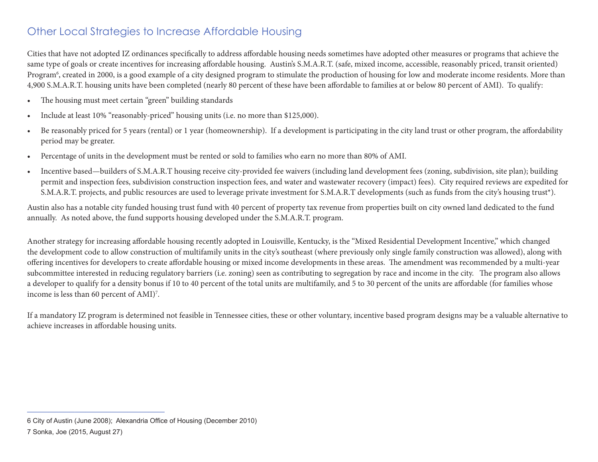#### Other Local Strategies to Increase Affordable Housing

Cities that have not adopted IZ ordinances specifically to address affordable housing needs sometimes have adopted other measures or programs that achieve the same type of goals or create incentives for increasing affordable housing. Austin's S.M.A.R.T. (safe, mixed income, accessible, reasonably priced, transit oriented) Program<sup>6</sup>, created in 2000, is a good example of a city designed program to stimulate the production of housing for low and moderate income residents. More than 4,900 S.M.A.R.T. housing units have been completed (nearly 80 percent of these have been affordable to families at or below 80 percent of AMI). To qualify:

- • The housing must meet certain "green" building standards
- Include at least 10% "reasonably-priced" housing units (i.e. no more than \$125,000).
- Be reasonably priced for 5 years (rental) or 1 year (homeownership). If a development is participating in the city land trust or other program, the affordability period may be greater.
- • Percentage of units in the development must be rented or sold to families who earn no more than 80% of AMI.
- Incentive based—builders of S.M.A.R.T housing receive city-provided fee waivers (including land development fees (zoning, subdivision, site plan); building permit and inspection fees, subdivision construction inspection fees, and water and wastewater recovery (impact) fees). City required reviews are expedited for S.M.A.R.T. projects, and public resources are used to leverage private investment for S.M.A.R.T developments (such as funds from the city's housing trust\*).

Austin also has a notable city funded housing trust fund with 40 percent of property tax revenue from properties built on city owned land dedicated to the fund annually. As noted above, the fund supports housing developed under the S.M.A.R.T. program.

Another strategy for increasing affordable housing recently adopted in Louisville, Kentucky, is the "Mixed Residential Development Incentive," which changed the development code to allow construction of multifamily units in the city's southeast (where previously only single family construction was allowed), along with offering incentives for developers to create affordable housing or mixed income developments in these areas. The amendment was recommended by a multi-year subcommittee interested in reducing regulatory barriers (i.e. zoning) seen as contributing to segregation by race and income in the city. The program also allows a developer to qualify for a density bonus if 10 to 40 percent of the total units are multifamily, and 5 to 30 percent of the units are affordable (for families whose income is less than 60 percent of AMI)7 .

If a mandatory IZ program is determined not feasible in Tennessee cities, these or other voluntary, incentive based program designs may be a valuable alternative to achieve increases in affordable housing units.

\_\_\_\_\_\_\_\_\_\_\_\_\_\_\_\_\_\_\_\_\_\_\_\_\_\_

<sup>6</sup> City of Austin (June 2008); Alexandria Office of Housing (December 2010)

<sup>7</sup> Sonka, Joe (2015, August 27)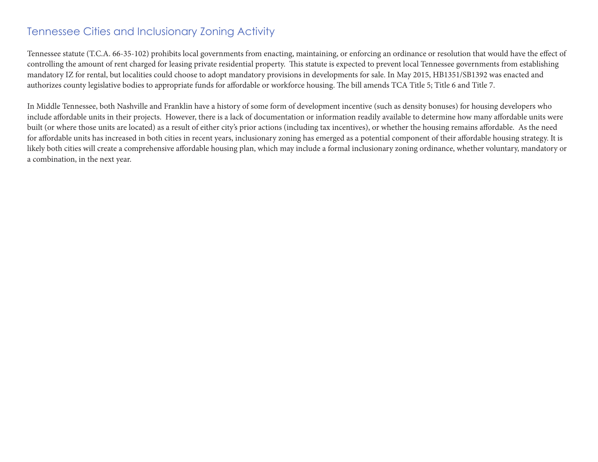#### Tennessee Cities and Inclusionary Zoning Activity

Tennessee statute (T.C.A. 66-35-102) prohibits local governments from enacting, maintaining, or enforcing an ordinance or resolution that would have the effect of controlling the amount of rent charged for leasing private residential property. This statute is expected to prevent local Tennessee governments from establishing mandatory IZ for rental, but localities could choose to adopt mandatory provisions in developments for sale. In May 2015, HB1351/SB1392 was enacted and authorizes county legislative bodies to appropriate funds for affordable or workforce housing. The bill amends TCA Title 5; Title 6 and Title 7.

In Middle Tennessee, both Nashville and Franklin have a history of some form of development incentive (such as density bonuses) for housing developers who include affordable units in their projects. However, there is a lack of documentation or information readily available to determine how many affordable units were built (or where those units are located) as a result of either city's prior actions (including tax incentives), or whether the housing remains affordable. As the need for affordable units has increased in both cities in recent years, inclusionary zoning has emerged as a potential component of their affordable housing strategy. It is likely both cities will create a comprehensive affordable housing plan, which may include a formal inclusionary zoning ordinance, whether voluntary, mandatory or a combination, in the next year.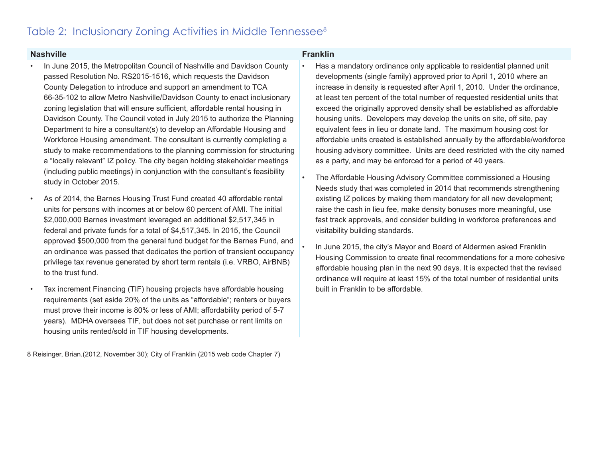#### Table 2: Inclusionary Zoning Activities in Middle Tennessee<sup>8</sup>

#### **Nashville Franklin**

- In June 2015, the Metropolitan Council of Nashville and Davidson County passed Resolution No. RS2015-1516, which requests the Davidson County Delegation to introduce and support an amendment to TCA 66-35-102 to allow Metro Nashville/Davidson County to enact inclusionary zoning legislation that will ensure sufficient, affordable rental housing in Davidson County. The Council voted in July 2015 to authorize the Planning Department to hire a consultant(s) to develop an Affordable Housing and Workforce Housing amendment. The consultant is currently completing a study to make recommendations to the planning commission for structuring a "locally relevant" IZ policy. The city began holding stakeholder meetings (including public meetings) in conjunction with the consultant's feasibility study in October 2015.
- As of 2014, the Barnes Housing Trust Fund created 40 affordable rental units for persons with incomes at or below 60 percent of AMI. The initial \$2,000,000 Barnes investment leveraged an additional \$2,517,345 in federal and private funds for a total of \$4,517,345. In 2015, the Council approved \$500,000 from the general fund budget for the Barnes Fund, and an ordinance was passed that dedicates the portion of transient occupancy privilege tax revenue generated by short term rentals (i.e. VRBO, AirBNB) to the trust fund.
- Tax increment Financing (TIF) housing projects have affordable housing requirements (set aside 20% of the units as "affordable"; renters or buyers must prove their income is 80% or less of AMI; affordability period of 5-7 years). MDHA oversees TIF, but does not set purchase or rent limits on housing units rented/sold in TIF housing developments.

8 Reisinger, Brian.(2012, November 30); City of Franklin (2015 web code Chapter 7)

- Has a mandatory ordinance only applicable to residential planned unit developments (single family) approved prior to April 1, 2010 where an increase in density is requested after April 1, 2010. Under the ordinance, at least ten percent of the total number of requested residential units that exceed the originally approved density shall be established as affordable housing units. Developers may develop the units on site, off site, pay equivalent fees in lieu or donate land. The maximum housing cost for affordable units created is established annually by the affordable/workforce housing advisory committee. Units are deed restricted with the city named as a party, and may be enforced for a period of 40 years.
- The Affordable Housing Advisory Committee commissioned a Housing Needs study that was completed in 2014 that recommends strengthening existing IZ polices by making them mandatory for all new development; raise the cash in lieu fee, make density bonuses more meaningful, use fast track approvals, and consider building in workforce preferences and visitability building standards.
- In June 2015, the city's Mayor and Board of Aldermen asked Franklin Housing Commission to create final recommendations for a more cohesive affordable housing plan in the next 90 days. It is expected that the revised ordinance will require at least 15% of the total number of residential units built in Franklin to be affordable.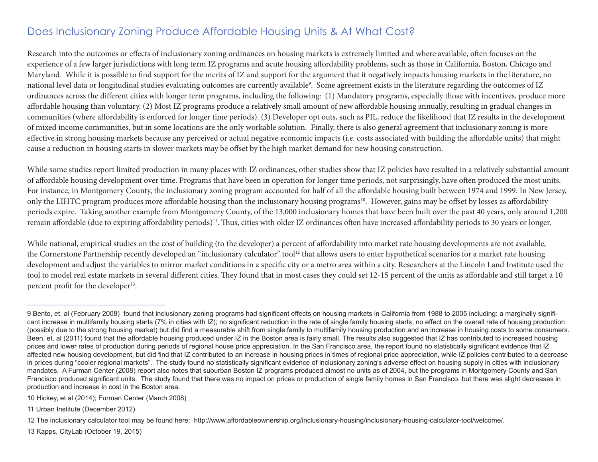### Does Inclusionary Zoning Produce Affordable Housing Units & At What Cost?

Research into the outcomes or effects of inclusionary zoning ordinances on housing markets is extremely limited and where available, often focuses on the experience of a few larger jurisdictions with long term IZ programs and acute housing affordability problems, such as those in California, Boston, Chicago and Maryland. While it is possible to find support for the merits of IZ and support for the argument that it negatively impacts housing markets in the literature, no national level data or longitudinal studies evaluating outcomes are currently available<sup>9</sup>. Some agreement exists in the literature regarding the outcomes of IZ ordinances across the different cities with longer term programs, including the following: (1) Mandatory programs, especially those with incentives, produce more affordable housing than voluntary. (2) Most IZ programs produce a relatively small amount of new affordable housing annually, resulting in gradual changes in communities (where affordability is enforced for longer time periods). (3) Developer opt outs, such as PIL, reduce the likelihood that IZ results in the development of mixed income communities, but in some locations are the only workable solution. Finally, there is also general agreement that inclusionary zoning is more effective in strong housing markets because any perceived or actual negative economic impacts (i.e. costs associated with building the affordable units) that might cause a reduction in housing starts in slower markets may be offset by the high market demand for new housing construction.

While some studies report limited production in many places with IZ ordinances, other studies show that IZ policies have resulted in a relatively substantial amount of affordable housing development over time. Programs that have been in operation for longer time periods, not surprisingly, have often produced the most units. For instance, in Montgomery County, the inclusionary zoning program accounted for half of all the affordable housing built between 1974 and 1999. In New Jersey, only the LIHTC program produces more affordable housing than the inclusionary housing programs<sup>10</sup>. However, gains may be offset by losses as affordability periods expire. Taking another example from Montgomery County, of the 13,000 inclusionary homes that have been built over the past 40 years, only around 1,200 remain affordable (due to expiring affordability periods)<sup>11</sup>. Thus, cities with older IZ ordinances often have increased affordability periods to 30 years or longer.

While national, empirical studies on the cost of building (to the developer) a percent of affordability into market rate housing developments are not available, the Cornerstone Partnership recently developed an "inclusionary calculator" tool<sup>12</sup> that allows users to enter hypothetical scenarios for a market rate housing development and adjust the variables to mirror market conditions in a specific city or a metro area within a city. Researchers at the Lincoln Land Institute used the tool to model real estate markets in several different cities. They found that in most cases they could set 12-15 percent of the units as affordable and still target a 10 percent profit for the developer<sup>13</sup>.

10 Hickey, et al (2014); Furman Center (March 2008)

\_\_\_\_\_\_\_\_\_\_\_\_\_\_\_\_\_\_\_\_\_\_\_\_\_\_

11 Urban Institute (December 2012)

12 The inclusionary calculator tool may be found here: http://www.affordableownership.org/inclusionary-housing/inclusionary-housing-calculator-tool/welcome/.

13 Kapps, CityLab (October 19, 2015)

<sup>9</sup> Bento, et. al (February 2008) found that inclusionary zoning programs had significant effects on housing markets in California from 1988 to 2005 including: a marginally significant increase in multifamily housing starts (7% in cities with IZ); no significant reduction in the rate of single family housing starts; no effect on the overall rate of housing production (possibly due to the strong housing market) but did find a measurable shift from single family to multifamily housing production and an increase in housing costs to some consumers. Been, et. al (2011) found that the affordable housing produced under IZ in the Boston area is fairly small. The results also suggested that IZ has contributed to increased housing prices and lower rates of production during periods of regional house price appreciation. In the San Francisco area, the report found no statistically significant evidence that IZ affected new housing development, but did find that IZ contributed to an increase in housing prices in times of regional price appreciation, while IZ policies contributed to a decrease in prices during "cooler regional markets". The study found no statistically significant evidence of inclusionary zoning's adverse effect on housing supply in cities with inclusionary mandates. A Furman Center (2008) report also notes that suburban Boston IZ programs produced almost no units as of 2004, but the programs in Montgomery County and San Francisco produced significant units. The study found that there was no impact on prices or production of single family homes in San Francisco, but there was slight decreases in production and increase in cost in the Boston area.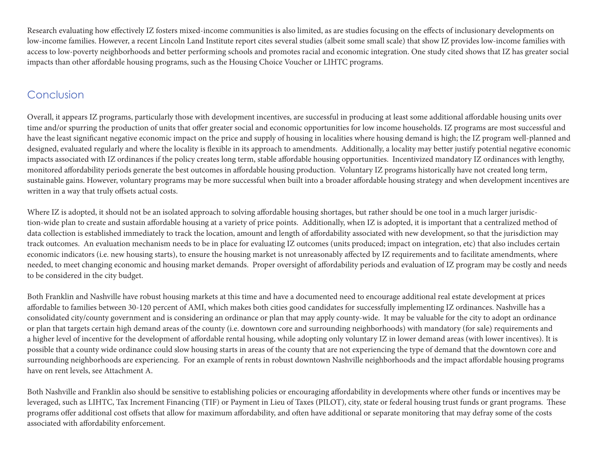Research evaluating how effectively IZ fosters mixed-income communities is also limited, as are studies focusing on the effects of inclusionary developments on low-income families. However, a recent Lincoln Land Institute report cites several studies (albeit some small scale) that show IZ provides low-income families with access to low-poverty neighborhoods and better performing schools and promotes racial and economic integration. One study cited shows that IZ has greater social impacts than other affordable housing programs, such as the Housing Choice Voucher or LIHTC programs.

#### Conclusion

Overall, it appears IZ programs, particularly those with development incentives, are successful in producing at least some additional affordable housing units over time and/or spurring the production of units that offer greater social and economic opportunities for low income households. IZ programs are most successful and have the least significant negative economic impact on the price and supply of housing in localities where housing demand is high; the IZ program well-planned and designed, evaluated regularly and where the locality is flexible in its approach to amendments. Additionally, a locality may better justify potential negative economic impacts associated with IZ ordinances if the policy creates long term, stable affordable housing opportunities. Incentivized mandatory IZ ordinances with lengthy, monitored affordability periods generate the best outcomes in affordable housing production. Voluntary IZ programs historically have not created long term, sustainable gains. However, voluntary programs may be more successful when built into a broader affordable housing strategy and when development incentives are written in a way that truly offsets actual costs.

Where IZ is adopted, it should not be an isolated approach to solving affordable housing shortages, but rather should be one tool in a much larger jurisdiction-wide plan to create and sustain affordable housing at a variety of price points. Additionally, when IZ is adopted, it is important that a centralized method of data collection is established immediately to track the location, amount and length of affordability associated with new development, so that the jurisdiction may track outcomes. An evaluation mechanism needs to be in place for evaluating IZ outcomes (units produced; impact on integration, etc) that also includes certain economic indicators (i.e. new housing starts), to ensure the housing market is not unreasonably affected by IZ requirements and to facilitate amendments, where needed, to meet changing economic and housing market demands. Proper oversight of affordability periods and evaluation of IZ program may be costly and needs to be considered in the city budget.

Both Franklin and Nashville have robust housing markets at this time and have a documented need to encourage additional real estate development at prices affordable to families between 30-120 percent of AMI, which makes both cities good candidates for successfully implementing IZ ordinances. Nashville has a consolidated city/county government and is considering an ordinance or plan that may apply county-wide. It may be valuable for the city to adopt an ordinance or plan that targets certain high demand areas of the county (i.e. downtown core and surrounding neighborhoods) with mandatory (for sale) requirements and a higher level of incentive for the development of affordable rental housing, while adopting only voluntary IZ in lower demand areas (with lower incentives). It is possible that a county wide ordinance could slow housing starts in areas of the county that are not experiencing the type of demand that the downtown core and surrounding neighborhoods are experiencing. For an example of rents in robust downtown Nashville neighborhoods and the impact affordable housing programs have on rent levels, see Attachment A.

Both Nashville and Franklin also should be sensitive to establishing policies or encouraging affordability in developments where other funds or incentives may be leveraged, such as LIHTC, Tax Increment Financing (TIF) or Payment in Lieu of Taxes (PILOT), city, state or federal housing trust funds or grant programs. These programs offer additional cost offsets that allow for maximum affordability, and often have additional or separate monitoring that may defray some of the costs associated with affordability enforcement.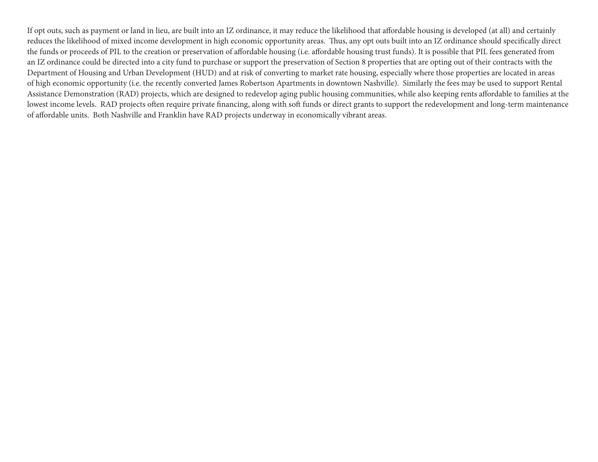If opt outs, such as payment or land in lieu, are built into an IZ ordinance, it may reduce the likelihood that affordable housing is developed (at all) and certainly reduces the likelihood of mixed income development in high economic opportunity areas. Thus, any opt outs built into an IZ ordinance should specifically direct the funds or proceeds of PIL to the creation or preservation of affordable housing (i.e. affordable housing trust funds). It is possible that PIL fees generated from an IZ ordinance could be directed into a city fund to purchase or support the preservation of Section 8 properties that are opting out of their contracts with the Department of Housing and Urban Development (HUD) and at risk of converting to market rate housing, especially where those properties are located in areas of high economic opportunity (i.e. the recently converted James Robertson Apartments in downtown Nashville). Similarly the fees may be used to support Rental Assistance Demonstration (RAD) projects, which are designed to redevelop aging public housing communities, while also keeping rents affordable to families at the lowest income levels. RAD projects often require private financing, along with soft funds or direct grants to support the redevelopment and long-term maintenance of affordable units. Both Nashville and Franklin have RAD projects underway in economically vibrant areas.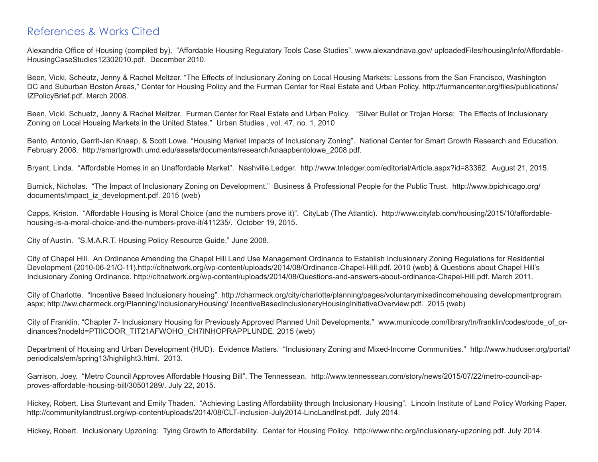#### References & Works Cited

Alexandria Office of Housing (compiled by). "Affordable Housing Regulatory Tools Case Studies". www.alexandriava.gov/ uploadedFiles/housing/info/Affordable-HousingCaseStudies12302010.pdf. December 2010.

Been, Vicki, Scheutz, Jenny & Rachel Meltzer. "The Effects of Inclusionary Zoning on Local Housing Markets: Lessons from the San Francisco, Washington DC and Suburban Boston Areas," Center for Housing Policy and the Furman Center for Real Estate and Urban Policy. http://furmancenter.org/files/publications/ IZPolicyBrief.pdf. March 2008.

Been, Vicki, Schuetz, Jenny & Rachel Meltzer. Furman Center for Real Estate and Urban Policy. "Silver Bullet or Trojan Horse: The Effects of Inclusionary Zoning on Local Housing Markets in the United States." Urban Studies , vol. 47, no. 1, 2010

Bento, Antonio, Gerrit-Jan Knaap, & Scott Lowe. "Housing Market Impacts of Inclusionary Zoning". National Center for Smart Growth Research and Education. February 2008. http://smartgrowth.umd.edu/assets/documents/research/knaapbentolowe\_2008.pdf.

Bryant, Linda. "Affordable Homes in an Unaffordable Market". Nashville Ledger. http://www.tnledger.com/editorial/Article.aspx?id=83362. August 21, 2015.

Burnick, Nicholas. "The Impact of Inclusionary Zoning on Development." Business & Professional People for the Public Trust. http://www.bpichicago.org/ documents/impact\_iz\_development.pdf. 2015 (web)

Capps, Kriston. "Affordable Housing is Moral Choice (and the numbers prove it)". CityLab (The Atlantic). http://www.citylab.com/housing/2015/10/affordablehousing-is-a-moral-choice-and-the-numbers-prove-it/411235/. October 19, 2015.

City of Austin. "S.M.A.R.T. Housing Policy Resource Guide." June 2008.

City of Chapel Hill. An Ordinance Amending the Chapel Hill Land Use Management Ordinance to Establish Inclusionary Zoning Regulations for Residential Development (2010-06-21/O-11).http://cltnetwork.org/wp-content/uploads/2014/08/Ordinance-Chapel-Hill.pdf. 2010 (web) & Questions about Chapel Hill's Inclusionary Zoning Ordinance. http://cltnetwork.org/wp-content/uploads/2014/08/Questions-and-answers-about-ordinance-Chapel-Hill.pdf. March 2011.

City of Charlotte. "Incentive Based Inclusionary housing". http://charmeck.org/city/charlotte/planning/pages/voluntarymixedincomehousing developmentprogram. aspx; http://ww.charmeck.org/Planning/InclusionaryHousing/ IncentiveBasedInclusionaryHousingInitiativeOverview.pdf. 2015 (web)

City of Franklin. "Chapter 7- Inclusionary Housing for Previously Approved Planned Unit Developments." www.municode.com/library/tn/franklin/codes/code\_of\_ordinances?nodeId=PTIICOOR\_TIT21AFWOHO\_CH7INHOPRAPPLUNDE. 2015 (web)

Department of Housing and Urban Development (HUD). Evidence Matters. "Inclusionary Zoning and Mixed-Income Communities." http://www.huduser.org/portal/ periodicals/em/spring13/highlight3.html. 2013.

Garrison, Joey. "Metro Council Approves Affordable Housing Bill". The Tennessean. http://www.tennessean.com/story/news/2015/07/22/metro-council-approves-affordable-housing-bill/30501289/. July 22, 2015.

Hickey, Robert, Lisa Sturtevant and Emily Thaden. "Achieving Lasting Affordability through Inclusionary Housing". Lincoln Institute of Land Policy Working Paper. http://communitylandtrust.org/wp-content/uploads/2014/08/CLT-inclusion-July2014-LincLandInst.pdf. July 2014.

Hickey, Robert. Inclusionary Upzoning: Tying Growth to Affordability. Center for Housing Policy. http://www.nhc.org/inclusionary-upzoning.pdf. July 2014.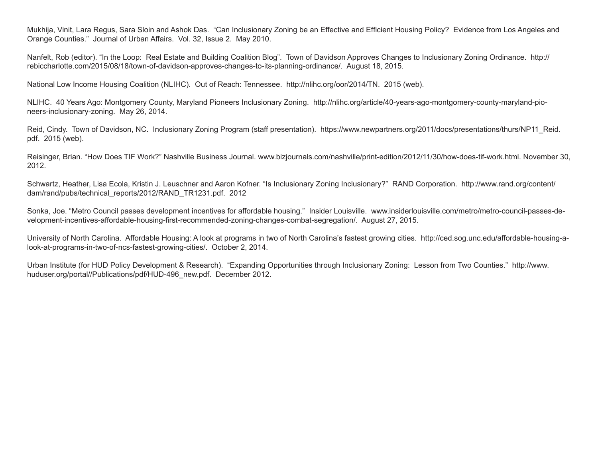Mukhija, Vinit, Lara Regus, Sara Sloin and Ashok Das. "Can Inclusionary Zoning be an Effective and Efficient Housing Policy? Evidence from Los Angeles and Orange Counties." Journal of Urban Affairs. Vol. 32, Issue 2. May 2010.

Nanfelt, Rob (editor). "In the Loop: Real Estate and Building Coalition Blog". Town of Davidson Approves Changes to Inclusionary Zoning Ordinance. http:// rebiccharlotte.com/2015/08/18/town-of-davidson-approves-changes-to-its-planning-ordinance/. August 18, 2015.

National Low Income Housing Coalition (NLIHC). Out of Reach: Tennessee. http://nlihc.org/oor/2014/TN. 2015 (web).

NLIHC. 40 Years Ago: Montgomery County, Maryland Pioneers Inclusionary Zoning. http://nlihc.org/article/40-years-ago-montgomery-county-maryland-pioneers-inclusionary-zoning. May 26, 2014.

Reid, Cindy. Town of Davidson, NC. Inclusionary Zoning Program (staff presentation). https://www.newpartners.org/2011/docs/presentations/thurs/NP11 Reid. pdf. 2015 (web).

Reisinger, Brian. "How Does TIF Work?" Nashville Business Journal. www.bizjournals.com/nashville/print-edition/2012/11/30/how-does-tif-work.html. November 30, 2012.

Schwartz, Heather, Lisa Ecola, Kristin J. Leuschner and Aaron Kofner. "Is Inclusionary Zoning Inclusionary?" RAND Corporation. http://www.rand.org/content/ dam/rand/pubs/technical\_reports/2012/RAND\_TR1231.pdf. 2012

Sonka, Joe. "Metro Council passes development incentives for affordable housing." Insider Louisville. www.insiderlouisville.com/metro/metro-council-passes-development-incentives-affordable-housing-first-recommended-zoning-changes-combat-segregation/. August 27, 2015.

University of North Carolina. Affordable Housing: A look at programs in two of North Carolina's fastest growing cities. http://ced.sog.unc.edu/affordable-housing-alook-at-programs-in-two-of-ncs-fastest-growing-cities/. October 2, 2014.

Urban Institute (for HUD Policy Development & Research). "Expanding Opportunities through Inclusionary Zoning: Lesson from Two Counties." http://www. huduser.org/portal//Publications/pdf/HUD-496 new.pdf. December 2012.